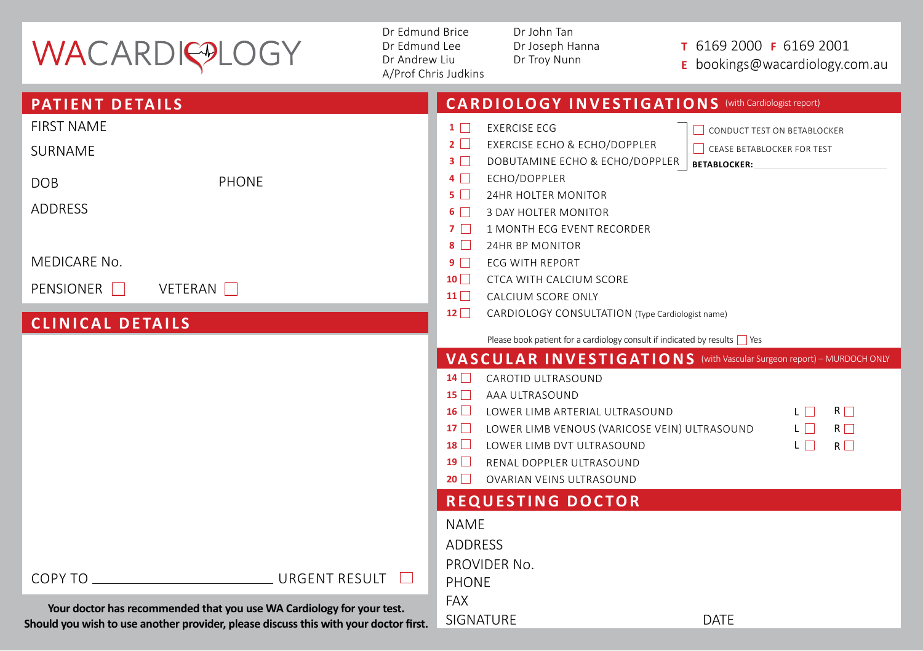## WACARDIQ®LOGY

Dr Edmund Brice Dr Edmund Lee Dr Andrew Liu A/Prof Chris Judkins Dr John Tan Dr Joseph Hanna Dr Troy Nunn

## **<sup>T</sup>** 6169 2000 **F** 6169 2001

**E** bookings@wacardiology.com.au

| <b>PATIENT DETAILS</b>                                                                                                                                        | <b>CARDIOLOGY INVESTIGATIONS</b> (with Cardiologist report)                                                                                                                                                                                                                                                                                                                                                                                  |
|---------------------------------------------------------------------------------------------------------------------------------------------------------------|----------------------------------------------------------------------------------------------------------------------------------------------------------------------------------------------------------------------------------------------------------------------------------------------------------------------------------------------------------------------------------------------------------------------------------------------|
| <b>FIRST NAME</b><br>SURNAME<br>PHONE<br><b>DOB</b><br><b>ADDRESS</b>                                                                                         | <b>EXERCISE ECG</b><br>$1 \Box$<br>CONDUCT TEST ON BETABLOCKER<br>$2\Box$<br><b>EXERCISE ECHO &amp; ECHO/DOPPLER</b><br>CEASE BETABLOCKER FOR TEST<br>$3 \Box$<br>DOBUTAMINE ECHO & ECHO/DOPPLER<br><b>BETABLOCKER:</b><br>ECHO/DOPPLER<br>$4\Box$<br>$5\Box$<br>24HR HOLTER MONITOR<br>$6\Box$<br><b>3 DAY HOLTER MONITOR</b><br>7 <sub>1</sub><br>1 MONTH ECG EVENT RECORDER                                                               |
| <b>MEDICARE No.</b><br>PENSIONER <b>D</b><br><b>VETERAN</b> □<br><b>CLINICAL DETAILS</b>                                                                      | $8\Box$<br>24HR BP MONITOR<br>9 <sub>1</sub><br><b>ECG WITH REPORT</b><br>$10$ $\Box$<br>CTCA WITH CALCIUM SCORE<br>11<br>CALCIUM SCORE ONLY<br>$12 \Box$<br>CARDIOLOGY CONSULTATION (Type Cardiologist name)<br>Please book patient for a cardiology consult if indicated by results Ves                                                                                                                                                    |
|                                                                                                                                                               | VASCULAR INVESTIGATIONS (with Vascular Surgeon report) - MURDOCH ONLY<br>$14\Box$<br>CAROTID UITRASOUND<br>$15 \Box$<br>AAA ULTRASOUND<br>16<br>LП.<br>$R \Box$<br>LOWER LIMB ARTERIAL ULTRASOUND<br>$17$ $\Box$<br>$L \Box$<br>$R \Box$<br>LOWER LIMB VENOUS (VARICOSE VEIN) ULTRASOUND<br>18<br>$L \Box$<br>$R \Box$<br><b>I OWER LIMB DVT UITRASOUND</b><br>19 <sup>1</sup><br>RENAL DOPPLER ULTRASOUND<br>20<br>OVARIAN VEINS ULTRASOUND |
| URGENT RESULT<br>COPY TO THE COPY TO THE COPY TO                                                                                                              | <b>REQUESTING DOCTOR</b><br><b>NAME</b><br><b>ADDRESS</b><br>PROVIDER No.<br><b>PHONE</b>                                                                                                                                                                                                                                                                                                                                                    |
| Your doctor has recommended that you use WA Cardiology for your test.<br>Should you wish to use another provider, please discuss this with your doctor first. | <b>FAX</b><br><b>SIGNATURE</b><br><b>DATE</b>                                                                                                                                                                                                                                                                                                                                                                                                |